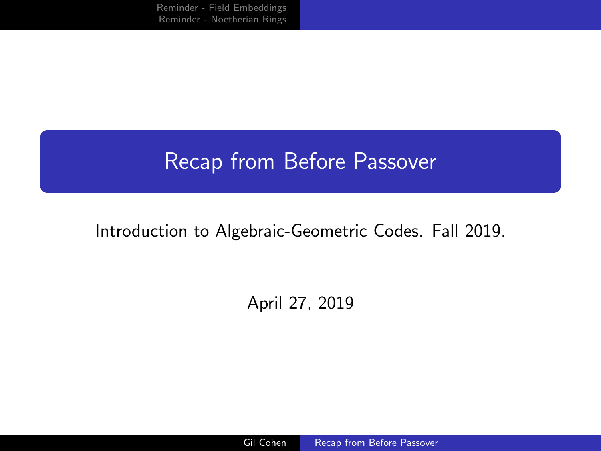<span id="page-0-0"></span>[Reminder - Field Embeddings](#page-1-0) [Reminder - Noetherian Rings](#page-6-0)

# Recap from Before Passover

### Introduction to Algebraic-Geometric Codes. Fall 2019.

## April 27, 2019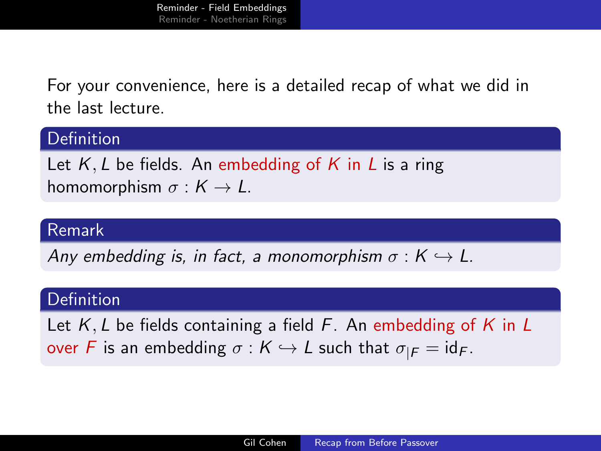<span id="page-1-0"></span>For your convenience, here is a detailed recap of what we did in the last lecture.

### Definition

Let  $K, L$  be fields. An embedding of K in L is a ring homomorphism  $\sigma : K \to L$ .

### Remark

Any embedding is, in fact, a monomorphism  $\sigma : K \hookrightarrow L$ .

### **Definition**

Let  $K, L$  be fields containing a field  $F$ . An embedding of K in L over F is an embedding  $\sigma : K \hookrightarrow L$  such that  $\sigma_{|F} = id_F$ .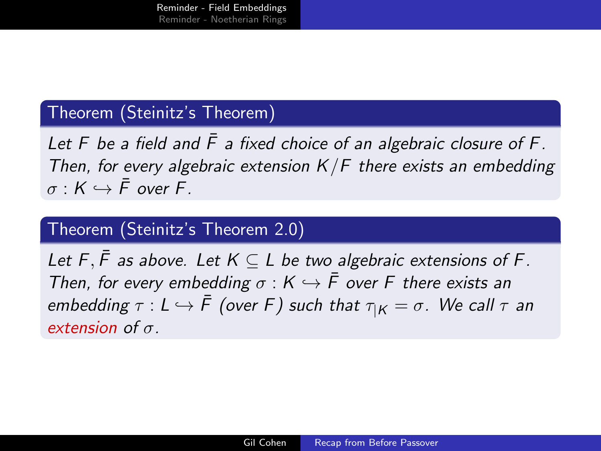### Theorem (Steinitz's Theorem)

Let F be a field and  $\bar{F}$  a fixed choice of an algebraic closure of F. Then, for every algebraic extension  $K/F$  there exists an embedding  $\sigma: K \hookrightarrow \bar{F}$  over F.

### Theorem (Steinitz's Theorem 2.0)

Let F,  $\bar{F}$  as above. Let  $K \subseteq L$  be two algebraic extensions of F. Then, for every embedding  $\sigma : K \hookrightarrow \overline{F}$  over F there exists an embedding  $\tau : L \hookrightarrow \overline{F}$  (over F) such that  $\tau_{|K} = \sigma$ . We call  $\tau$  an extension of  $\sigma$ .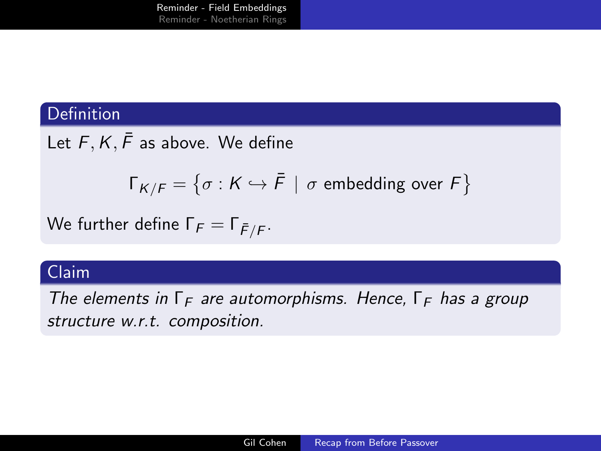### Definition

Let  $F, K, \bar{F}$  as above. We define

$$
\Gamma_{K/F} = \{ \sigma : K \hookrightarrow \overline{F} \mid \sigma \text{ embedding over } F \}
$$

We further define  $\Gamma_{\digamma}=\Gamma_{\bar{\digamma}/\bar{\digamma}}.$ 

### Claim

The elements in  $\Gamma_F$  are automorphisms. Hence,  $\Gamma_F$  has a group structure w.r.t. composition.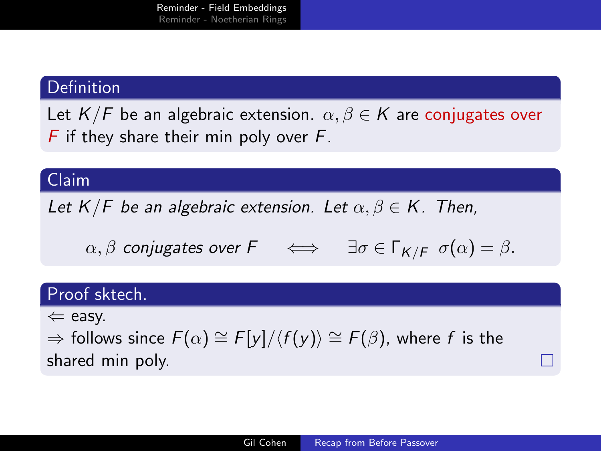### **Definition**

Let  $K/F$  be an algebraic extension.  $\alpha, \beta \in K$  are conjugates over  $F$  if they share their min poly over  $F$ .

### Claim

Let  $K/F$  be an algebraic extension. Let  $\alpha, \beta \in K$ . Then,

 $\alpha, \beta$  conjugates over  $F \iff \exists \sigma \in \Gamma_{K/F} \; \sigma(\alpha) = \beta$ .

### Proof sktech.

 $\Leftarrow$  easy.

 $\Rightarrow$  follows since  $F(\alpha) \cong F[y]/\langle f(y) \rangle \cong F(\beta)$ , where f is the shared min poly.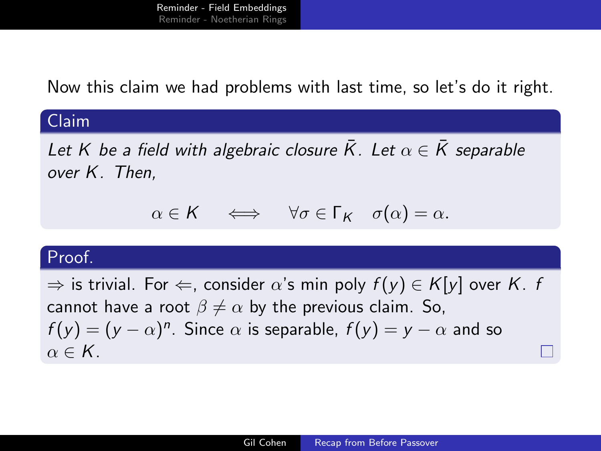Now this claim we had problems with last time, so let's do it right.

### Claim

Let K be a field with algebraic closure  $\bar{K}$ . Let  $\alpha \in \bar{K}$  separable over K. Then,

$$
\alpha \in \mathsf{K} \quad \iff \quad \forall \sigma \in \Gamma_{\mathsf{K}} \quad \sigma(\alpha) = \alpha.
$$

#### Proof.

 $\Rightarrow$  is trivial. For  $\Leftarrow$ , consider  $\alpha$ 's min poly  $f(y) \in K[y]$  over K. f cannot have a root  $\beta \neq \alpha$  by the previous claim. So,  $f(y) = (y - \alpha)^n$ . Since  $\alpha$  is separable,  $f(y) = y - \alpha$  and so  $\alpha \in K$ .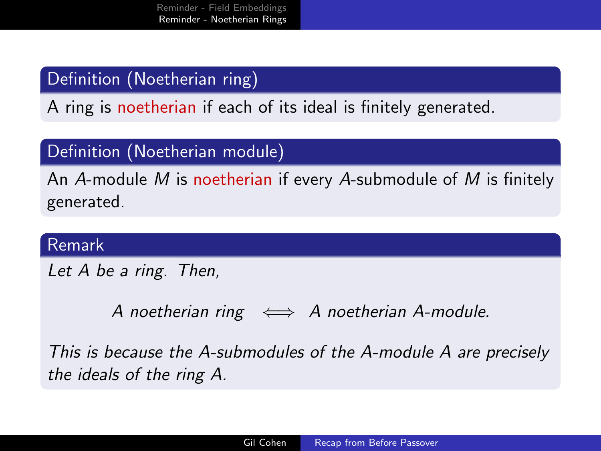# <span id="page-6-0"></span>Definition (Noetherian ring)

A ring is noetherian if each of its ideal is finitely generated.

### Definition (Noetherian module)

An A-module M is noetherian if every A-submodule of M is finitely generated.

### Remark

Let A be a ring. Then,

A noetherian ring  $\iff$  A noetherian A-module.

This is because the A-submodules of the A-module A are precisely the ideals of the ring A.